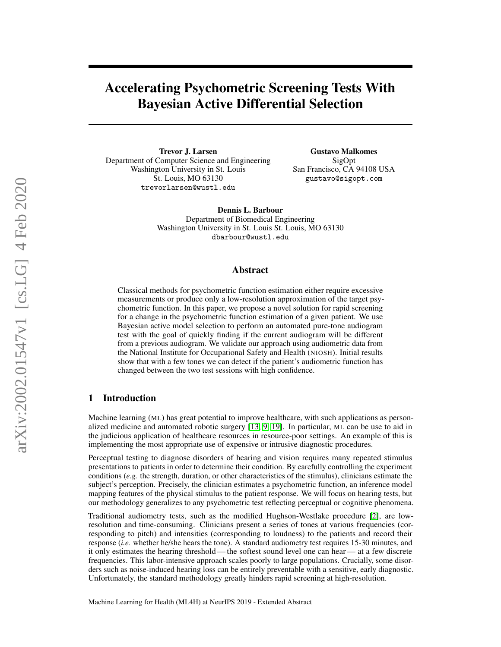# Accelerating Psychometric Screening Tests With Bayesian Active Differential Selection

Trevor J. Larsen Department of Computer Science and Engineering Washington University in St. Louis St. Louis, MO 63130 trevorlarsen@wustl.edu

Gustavo Malkomes SigOpt San Francisco, CA 94108 USA gustavo@sigopt.com

Dennis L. Barbour Department of Biomedical Engineering Washington University in St. Louis St. Louis, MO 63130 dbarbour@wustl.edu

#### Abstract

Classical methods for psychometric function estimation either require excessive measurements or produce only a low-resolution approximation of the target psychometric function. In this paper, we propose a novel solution for rapid screening for a change in the psychometric function estimation of a given patient. We use Bayesian active model selection to perform an automated pure-tone audiogram test with the goal of quickly finding if the current audiogram will be different from a previous audiogram. We validate our approach using audiometric data from the National Institute for Occupational Safety and Health (NIOSH). Initial results show that with a few tones we can detect if the patient's audiometric function has changed between the two test sessions with high confidence.

### 1 Introduction

Machine learning (ML) has great potential to improve healthcare, with such applications as personalized medicine and automated robotic surgery [\[13,](#page-4-0) [9,](#page-4-1) [19\]](#page-5-0). In particular, ML can be use to aid in the judicious application of healthcare resources in resource-poor settings. An example of this is implementing the most appropriate use of expensive or intrusive diagnostic procedures.

Perceptual testing to diagnose disorders of hearing and vision requires many repeated stimulus presentations to patients in order to determine their condition. By carefully controlling the experiment conditions (*e.g.* the strength, duration, or other characteristics of the stimulus), clinicians estimate the subject's perception. Precisely, the clinician estimates a psychometric function, an inference model mapping features of the physical stimulus to the patient response. We will focus on hearing tests, but our methodology generalizes to any psychometric test reflecting perceptual or cognitive phenomena.

Traditional audiometry tests, such as the modified Hughson-Westlake procedure [\[2\]](#page-4-2), are lowresolution and time-consuming. Clinicians present a series of tones at various frequencies (corresponding to pitch) and intensities (corresponding to loudness) to the patients and record their response (*i.e.* whether he/she hears the tone). A standard audiometry test requires 15-30 minutes, and it only estimates the hearing threshold— the softest sound level one can hear— at a few discrete frequencies. This labor-intensive approach scales poorly to large populations. Crucially, some disorders such as noise-induced hearing loss can be entirely preventable with a sensitive, early diagnostic. Unfortunately, the standard methodology greatly hinders rapid screening at high-resolution.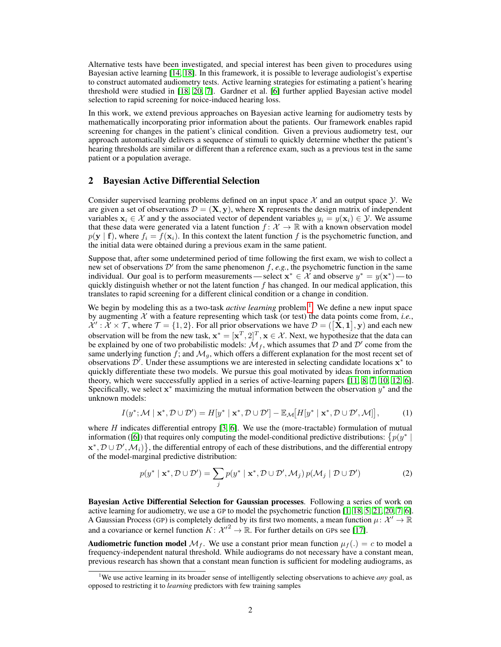Alternative tests have been investigated, and special interest has been given to procedures using Bayesian active learning [\[14,](#page-4-3) [18\]](#page-5-1). In this framework, it is possible to leverage audiologist's expertise to construct automated audiometry tests. Active learning strategies for estimating a patient's hearing threshold were studied in [\[18,](#page-5-1) [20,](#page-5-2) [7\]](#page-4-4). Gardner et al. [\[6\]](#page-4-5) further applied Bayesian active model selection to rapid screening for noice-induced hearing loss.

In this work, we extend previous approaches on Bayesian active learning for audiometry tests by mathematically incorporating prior information about the patients. Our framework enables rapid screening for changes in the patient's clinical condition. Given a previous audiometry test, our approach automatically delivers a sequence of stimuli to quickly determine whether the patient's hearing thresholds are similar or different than a reference exam, such as a previous test in the same patient or a population average.

#### 2 Bayesian Active Differential Selection

Consider supervised learning problems defined on an input space  $\mathcal X$  and an output space  $\mathcal Y$ . We are given a set of observations  $\mathcal{D} = (\mathbf{X}, \mathbf{y})$ , where X represents the design matrix of independent variables  $x_i \in \mathcal{X}$  and y the associated vector of dependent variables  $y_i = y(\mathbf{x}_i) \in \mathcal{Y}$ . We assume that these data were generated via a latent function  $f: \mathcal{X} \to \mathbb{R}$  with a known observation model  $p(\mathbf{y} \mid \mathbf{f})$ , where  $f_i = f(\mathbf{x}_i)$ . In this context the latent function f is the psychometric function, and the initial data were obtained during a previous exam in the same patient.

Suppose that, after some undetermined period of time following the first exam, we wish to collect a new set of observations  $\mathcal{D}'$  from the same phenomenon f, e.g., the psychometric function in the same individual. Our goal is to perform measurements—select  $\mathbf{x}^* \in \mathcal{X}$  and observe  $y^* = y(\mathbf{x}^*)$ —to quickly distinguish whether or not the latent function  $f$  has changed. In our medical application, this translates to rapid screening for a different clinical condition or a change in condition.

We begin by modeling this as a two-task *active learning* problem <sup>[1](#page-1-0)</sup>. We define a new input space by augmenting  $\chi$  with a feature representing which task (or test) the data points come from, *i.e.*,  $\mathcal{X}' : \mathcal{X} \times \mathcal{T}$ , where  $\mathcal{T} = \{1, 2\}$ . For all prior observations we have  $\mathcal{D} = (\mathbf{X}, \mathbf{1}], \mathbf{y}$  and each new observation will be from the new task,  $\mathbf{x}^* = [\mathbf{x}^T, 2]^T, \mathbf{x} \in \mathcal{X}$ . Next, we hypothesize that the data can be explained by one of two probabilistic models:  $\mathcal{M}_f$ , which assumes that  $\mathcal D$  and  $\mathcal D'$  come from the same underlying function f; and  $\mathcal{M}_g$ , which offers a different explanation for the most recent set of observations  $\mathcal{D}'$ . Under these assumptions we are interested in selecting candidate locations  $\mathbf{x}^*$  to quickly differentiate these two models. We pursue this goal motivated by ideas from information theory, which were successfully applied in a series of active-learning papers [\[11,](#page-4-6) [8,](#page-4-7) [7,](#page-4-4) [10,](#page-4-8) [12,](#page-4-9) [6\]](#page-4-5). Specifically, we select  $x^*$  maximizing the mutual information between the observation  $y^*$  and the unknown models:

$$
I(y^*; \mathcal{M} \mid \mathbf{x}^*, \mathcal{D} \cup \mathcal{D}') = H[y^* \mid \mathbf{x}^*, \mathcal{D} \cup \mathcal{D}'] - \mathbb{E}_{\mathcal{M}}[H[y^* \mid \mathbf{x}^*, \mathcal{D} \cup \mathcal{D}', \mathcal{M}]], \tag{1}
$$

where  $H$  indicates differential entropy  $[3, 6]$  $[3, 6]$  $[3, 6]$ . We use the (more-tractable) formulation of mutual information ([\[6\]](#page-4-5)) that requires only computing the model-conditional predictive distributions:  $\{p(y^*)\}$  $\mathbf{x}^*, \mathcal{D} \cup \mathcal{D}', \mathcal{M}_i$ , the differential entropy of each of these distributions, and the differential entropy of the model-marginal predictive distribution:

$$
p(y^* \mid \mathbf{x}^*, \mathcal{D} \cup \mathcal{D}') = \sum_j p(y^* \mid \mathbf{x}^*, \mathcal{D} \cup \mathcal{D}', \mathcal{M}_j) p(\mathcal{M}_j \mid \mathcal{D} \cup \mathcal{D}')
$$
(2)

Bayesian Active Differential Selection for Gaussian processes. Following a series of work on active learning for audiometry, we use a GP to model the psychometric function [\[1,](#page-4-11) [18,](#page-5-1) [5,](#page-4-12) [21,](#page-5-3) [20,](#page-5-2) [7,](#page-4-4) [6\]](#page-4-5). A Gaussian Process (GP) is completely defined by its first two moments, a mean function  $\mu: \mathcal{X}' \to \mathbb{R}$ and a covariance or kernel function  $K: \mathcal{X}'^2 \to \mathbb{R}$ . For further details on GPs see [\[17\]](#page-5-4).

**Audiometric function model**  $\mathcal{M}_f$ . We use a constant prior mean function  $\mu_f(.) = c$  to model a frequency-independent natural threshold. While audiograms do not necessary have a constant mean, previous research has shown that a constant mean function is sufficient for modeling audiograms, as

<span id="page-1-0"></span><sup>1</sup>We use active learning in its broader sense of intelligently selecting observations to achieve *any* goal, as opposed to restricting it to *learning* predictors with few training samples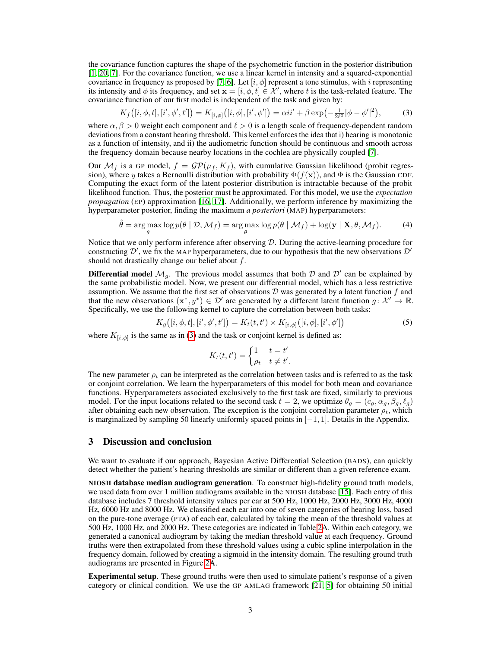the covariance function captures the shape of the psychometric function in the posterior distribution [\[1,](#page-4-11) [20,](#page-5-2) [7\]](#page-4-4). For the covariance function, we use a linear kernel in intensity and a squared-exponential covariance in frequency as proposed by [\[7,](#page-4-4) [6\]](#page-4-5). Let  $[i, \phi]$  represent a tone stimulus, with i representing its intensity and  $\phi$  its frequency, and set  $\mathbf{x} = [i, \phi, t] \in \mathcal{X}'$ , where t is the task-related feature. The covariance function of our first model is independent of the task and given by:

<span id="page-2-0"></span>
$$
K_f([i, \phi, t], [i', \phi', t']) = K_{[i, \phi]}([i, \phi], [i', \phi']) = \alpha i i' + \beta \exp\left(-\frac{1}{2\ell^2}|\phi - \phi'|^2\right),\tag{3}
$$

where  $\alpha, \beta > 0$  weight each component and  $\ell > 0$  is a length scale of frequency-dependent random deviations from a constant hearing threshold. This kernel enforces the idea that i) hearing is monotonic as a function of intensity, and ii) the audiometric function should be continuous and smooth across the frequency domain because nearby locations in the cochlea are physically coupled [\[7\]](#page-4-4).

Our  $\mathcal{M}_f$  is a GP model,  $f = \mathcal{GP}(\mu_f, K_f)$ , with cumulative Gaussian likelihood (probit regression), where y takes a Bernoulli distribution with probability  $\Phi(f(\mathbf{x}))$ , and  $\Phi$  is the Gaussian CDF. Computing the exact form of the latent posterior distribution is intractable because of the probit likelihood function. Thus, the posterior must be approximated. For this model, we use the *expectation propagation* (EP) approximation [\[16,](#page-5-5) [17\]](#page-5-4). Additionally, we perform inference by maximizing the hyperparameter posterior, finding the maximum *a posteriori* (MAP) hyperparameters:

$$
\hat{\theta} = \underset{\theta}{\arg\max} \log p(\theta \mid \mathcal{D}, \mathcal{M}_f) = \underset{\theta}{\arg\max} \log p(\theta \mid \mathcal{M}_f) + \log(\mathbf{y} \mid \mathbf{X}, \theta, \mathcal{M}_f). \tag{4}
$$

Notice that we only perform inference after observing D. During the active-learning procedure for constructing  $\mathcal{D}'$ , we fix the MAP hyperparameters, due to our hypothesis that the new observations  $\mathcal{D}'$ should not drastically change our belief about  $f$ .

**Differential model**  $\mathcal{M}_g$ . The previous model assumes that both  $\mathcal{D}$  and  $\mathcal{D}'$  can be explained by the same probabilistic model. Now, we present our differential model, which has a less restrictive assumption. We assume that the first set of observations  $D$  was generated by a latent function  $f$  and that the new observations  $(x^*, y^*) \in \mathcal{D}'$  are generated by a different latent function  $g: \mathcal{X}' \to \mathbb{R}$ . Specifically, we use the following kernel to capture the correlation between both tasks:

$$
K_g([i, \phi, t], [i', \phi', t']) = K_t(t, t') \times K_{[i, \phi]}([i, \phi], [i', \phi'])
$$
\n(5)

where  $K_{[i,\phi]}$  is the same as in [\(3\)](#page-2-0) and the task or conjoint kernel is defined as:

$$
K_t(t, t') = \begin{cases} 1 & t = t' \\ \rho_t & t \neq t' \end{cases}
$$

The new parameter  $\rho_t$  can be interpreted as the correlation between tasks and is referred to as the task or conjoint correlation. We learn the hyperparameters of this model for both mean and covariance functions. Hyperparameters associated exclusively to the first task are fixed, similarly to previous model. For the input locations related to the second task  $t = 2$ , we optimize  $\theta_g = (c_g, \alpha_g, \beta_g, \ell_g)$ after obtaining each new observation. The exception is the conjoint correlation parameter  $\rho_t$ , which is marginalized by sampling 50 linearly uniformly spaced points in  $[-1, 1]$ . Details in the Appendix.

#### 3 Discussion and conclusion

We want to evaluate if our approach, Bayesian Active Differential Selection (BADS), can quickly detect whether the patient's hearing thresholds are similar or different than a given reference exam.

NIOSH database median audiogram generation. To construct high-fidelity ground truth models, we used data from over 1 million audiograms available in the NIOSH database [\[15\]](#page-4-13). Each entry of this database includes 7 threshold intensity values per ear at 500 Hz, 1000 Hz, 2000 Hz, 3000 Hz, 4000 Hz, 6000 Hz and 8000 Hz. We classified each ear into one of seven categories of hearing loss, based on the pure-tone average (PTA) of each ear, calculated by taking the mean of the threshold values at 500 Hz, 1000 Hz, and 2000 Hz. These categories are indicated in Table [2A](#page-7-0). Within each category, we generated a canonical audiogram by taking the median threshold value at each frequency. Ground truths were then extrapolated from these threshold values using a cubic spline interpolation in the frequency domain, followed by creating a sigmoid in the intensity domain. The resulting ground truth audiograms are presented in Figure [2A](#page-8-0).

Experimental setup. These ground truths were then used to simulate patient's response of a given category or clinical condition. We use the GP AMLAG framework [\[21,](#page-5-3) [5\]](#page-4-12) for obtaining 50 initial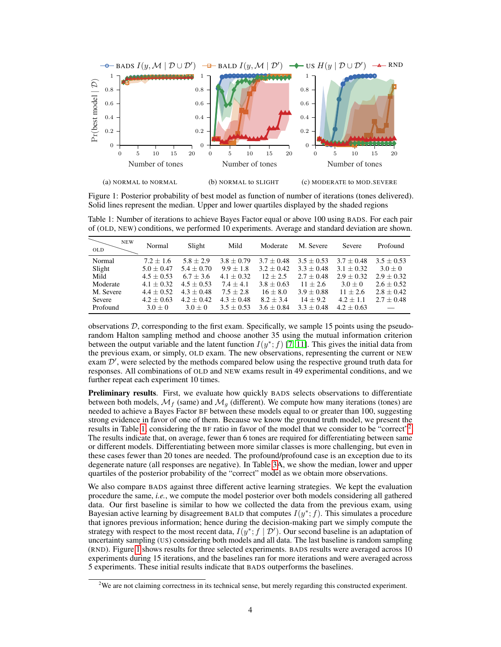<span id="page-3-2"></span>

Figure 1: Posterior probability of best model as function of number of iterations (tones delivered). Solid lines represent the median. Upper and lower quartiles displayed by the shaded regions

| <b>NEW</b><br><b>OLD</b> | Normal       | Slight       | Mild         | Moderate     | M. Severe    | Severe       | Profound     |
|--------------------------|--------------|--------------|--------------|--------------|--------------|--------------|--------------|
| Normal                   | $7.2 + 1.6$  | $5.8 + 2.9$  | $3.8 + 0.79$ | $3.7 + 0.48$ | $3.5 + 0.53$ | $3.7 + 0.48$ | $3.5 + 0.53$ |
| Slight                   | $5.0 + 0.47$ | $5.4 + 0.70$ | $9.9 + 1.8$  | $3.2 + 0.42$ | $3.3 + 0.48$ | $3.1 + 0.32$ | $3.0 + 0$    |
| Mild                     | $4.5 + 0.53$ | $6.7 + 3.6$  | $4.1 + 0.32$ | $12 + 2.5$   | $2.7 + 0.48$ | $2.9 + 0.32$ | $2.9 + 0.32$ |
| Moderate                 | $4.1 + 0.32$ | $4.5 + 0.53$ | $7.4 + 4.1$  | $3.8 + 0.63$ | $11 + 2.6$   | $3.0 + 0$    | $2.6 + 0.52$ |
| M. Severe                | $4.4 + 0.52$ | $4.3 + 0.48$ | $7.5 + 2.8$  | $16 + 8.0$   | $3.9 + 0.88$ | $11 + 2.6$   | $2.8 + 0.42$ |
| Severe                   | $4.2 + 0.63$ | $4.2 + 0.42$ | $4.3 + 0.48$ | $8.2 + 3.4$  | $14 + 9.2$   | $4.2 + 1.1$  | $2.7 + 0.48$ |
| Profound                 | $3.0 + 0$    | $3.0 + 0$    | $3.5 + 0.53$ | $3.6 + 0.84$ | $3.3 + 0.48$ | $4.2 + 0.63$ |              |

<span id="page-3-0"></span>Table 1: Number of iterations to achieve Bayes Factor equal or above 100 using BADS. For each pair of (OLD, NEW) conditions, we performed 10 experiments. Average and standard deviation are shown.

observations  $D$ , corresponding to the first exam. Specifically, we sample 15 points using the pseudorandom Halton sampling method and choose another 35 using the mutual information criterion between the output variable and the latent function  $I(y^*; f)$  [\[7,](#page-4-4) [11\]](#page-4-6). This gives the initial data from the previous exam, or simply, OLD exam. The new observations, representing the current or NEW exam  $\mathcal{D}'$ , were selected by the methods compared below using the respective ground truth data for responses. All combinations of OLD and NEW exams result in 49 experimental conditions, and we further repeat each experiment 10 times.

Preliminary results. First, we evaluate how quickly BADS selects observations to differentiate between both models,  $\mathcal{M}_f$  (same) and  $\mathcal{M}_g$  (different). We compute how many iterations (tones) are needed to achieve a Bayes Factor BF between these models equal to or greater than 100, suggesting strong evidence in favor of one of them. Because we know the ground truth model, we present the results in Table [1,](#page-3-0) considering the BF ratio in favor of the model that we consider to be "correct"<sup>[2](#page-3-1)</sup>. The results indicate that, on average, fewer than 6 tones are required for differentiating between same or different models. Differentiating between more similar classes is more challenging, but even in these cases fewer than 20 tones are needed. The profound/profound case is an exception due to its degenerate nature (all responses are negative). In Table [3A](#page-7-1), we show the median, lower and upper quartiles of the posterior probability of the "correct" model as we obtain more observations.

We also compare BADS against three different active learning strategies. We kept the evaluation procedure the same, *i.e.*, we compute the model posterior over both models considering all gathered data. Our first baseline is similar to how we collected the data from the previous exam, using Bayesian active learning by disagreement BALD that computes  $I(y^*; f)$ . This simulates a procedure that ignores previous information; hence during the decision-making part we simply compute the strategy with respect to the most recent data,  $I(y^*, f | \mathcal{D}')$ . Our second baseline is an adaptation of uncertainty sampling (US) considering both models and all data. The last baseline is random sampling (RND). Figure [1](#page-3-2) shows results for three selected experiments. BADS results were averaged across 10 experiments during 15 iterations, and the baselines ran for more iterations and were averaged across 5 experiments. These initial results indicate that BADS outperforms the baselines.

<span id="page-3-1"></span> $2W$ e are not claiming correctness in its technical sense, but merely regarding this constructed experiment.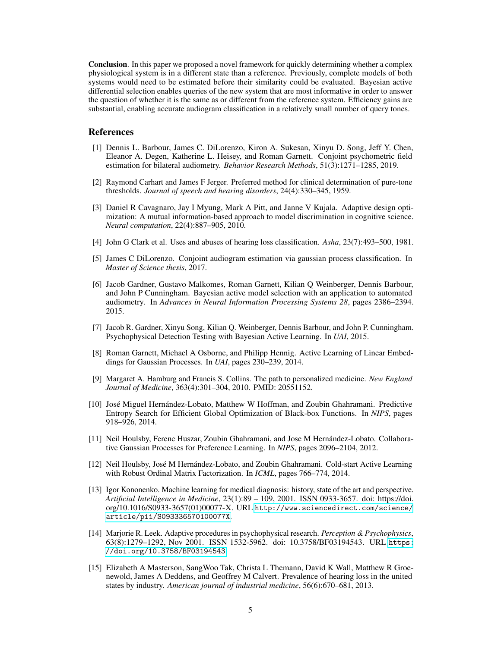Conclusion. In this paper we proposed a novel framework for quickly determining whether a complex physiological system is in a different state than a reference. Previously, complete models of both systems would need to be estimated before their similarity could be evaluated. Bayesian active differential selection enables queries of the new system that are most informative in order to answer the question of whether it is the same as or different from the reference system. Efficiency gains are substantial, enabling accurate audiogram classification in a relatively small number of query tones.

#### References

- <span id="page-4-11"></span>[1] Dennis L. Barbour, James C. DiLorenzo, Kiron A. Sukesan, Xinyu D. Song, Jeff Y. Chen, Eleanor A. Degen, Katherine L. Heisey, and Roman Garnett. Conjoint psychometric field estimation for bilateral audiometry. *Behavior Research Methods*, 51(3):1271–1285, 2019.
- <span id="page-4-2"></span>[2] Raymond Carhart and James F Jerger. Preferred method for clinical determination of pure-tone thresholds. *Journal of speech and hearing disorders*, 24(4):330–345, 1959.
- <span id="page-4-10"></span>[3] Daniel R Cavagnaro, Jay I Myung, Mark A Pitt, and Janne V Kujala. Adaptive design optimization: A mutual information-based approach to model discrimination in cognitive science. *Neural computation*, 22(4):887–905, 2010.
- <span id="page-4-14"></span>[4] John G Clark et al. Uses and abuses of hearing loss classification. *Asha*, 23(7):493–500, 1981.
- <span id="page-4-12"></span>[5] James C DiLorenzo. Conjoint audiogram estimation via gaussian process classification. In *Master of Science thesis*, 2017.
- <span id="page-4-5"></span>[6] Jacob Gardner, Gustavo Malkomes, Roman Garnett, Kilian Q Weinberger, Dennis Barbour, and John P Cunningham. Bayesian active model selection with an application to automated audiometry. In *Advances in Neural Information Processing Systems 28*, pages 2386–2394. 2015.
- <span id="page-4-4"></span>[7] Jacob R. Gardner, Xinyu Song, Kilian Q. Weinberger, Dennis Barbour, and John P. Cunningham. Psychophysical Detection Testing with Bayesian Active Learning. In *UAI*, 2015.
- <span id="page-4-7"></span>[8] Roman Garnett, Michael A Osborne, and Philipp Hennig. Active Learning of Linear Embeddings for Gaussian Processes. In *UAI*, pages 230–239, 2014.
- <span id="page-4-1"></span>[9] Margaret A. Hamburg and Francis S. Collins. The path to personalized medicine. *New England Journal of Medicine*, 363(4):301–304, 2010. PMID: 20551152.
- <span id="page-4-8"></span>[10] José Miguel Hernández-Lobato, Matthew W Hoffman, and Zoubin Ghahramani. Predictive Entropy Search for Efficient Global Optimization of Black-box Functions. In *NIPS*, pages 918–926, 2014.
- <span id="page-4-6"></span>[11] Neil Houlsby, Ferenc Huszar, Zoubin Ghahramani, and Jose M Hernández-Lobato. Collaborative Gaussian Processes for Preference Learning. In *NIPS*, pages 2096–2104, 2012.
- <span id="page-4-9"></span>[12] Neil Houlsby, José M Hernández-Lobato, and Zoubin Ghahramani. Cold-start Active Learning with Robust Ordinal Matrix Factorization. In *ICML*, pages 766–774, 2014.
- <span id="page-4-0"></span>[13] Igor Kononenko. Machine learning for medical diagnosis: history, state of the art and perspective. *Artificial Intelligence in Medicine*, 23(1):89 – 109, 2001. ISSN 0933-3657. doi: https://doi. org/10.1016/S0933-3657(01)00077-X. URL [http://www.sciencedirect.com/science/](http://www.sciencedirect.com/science/article/pii/S093336570100077X) [article/pii/S093336570100077X](http://www.sciencedirect.com/science/article/pii/S093336570100077X).
- <span id="page-4-3"></span>[14] Marjorie R. Leek. Adaptive procedures in psychophysical research. *Perception & Psychophysics*, 63(8):1279–1292, Nov 2001. ISSN 1532-5962. doi: 10.3758/BF03194543. URL [https:](https://doi.org/10.3758/BF03194543) [//doi.org/10.3758/BF03194543](https://doi.org/10.3758/BF03194543).
- <span id="page-4-13"></span>[15] Elizabeth A Masterson, SangWoo Tak, Christa L Themann, David K Wall, Matthew R Groenewold, James A Deddens, and Geoffrey M Calvert. Prevalence of hearing loss in the united states by industry. *American journal of industrial medicine*, 56(6):670–681, 2013.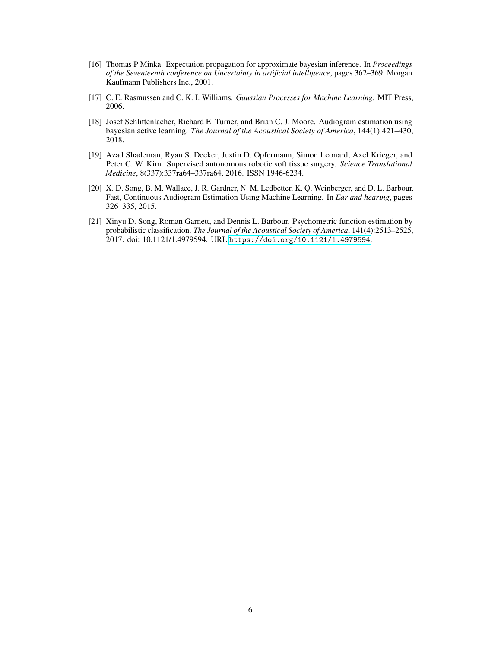- <span id="page-5-5"></span>[16] Thomas P Minka. Expectation propagation for approximate bayesian inference. In *Proceedings of the Seventeenth conference on Uncertainty in artificial intelligence*, pages 362–369. Morgan Kaufmann Publishers Inc., 2001.
- <span id="page-5-4"></span>[17] C. E. Rasmussen and C. K. I. Williams. *Gaussian Processes for Machine Learning*. MIT Press, 2006.
- <span id="page-5-1"></span>[18] Josef Schlittenlacher, Richard E. Turner, and Brian C. J. Moore. Audiogram estimation using bayesian active learning. *The Journal of the Acoustical Society of America*, 144(1):421–430, 2018.
- <span id="page-5-0"></span>[19] Azad Shademan, Ryan S. Decker, Justin D. Opfermann, Simon Leonard, Axel Krieger, and Peter C. W. Kim. Supervised autonomous robotic soft tissue surgery. *Science Translational Medicine*, 8(337):337ra64–337ra64, 2016. ISSN 1946-6234.
- <span id="page-5-2"></span>[20] X. D. Song, B. M. Wallace, J. R. Gardner, N. M. Ledbetter, K. Q. Weinberger, and D. L. Barbour. Fast, Continuous Audiogram Estimation Using Machine Learning. In *Ear and hearing*, pages 326–335, 2015.
- <span id="page-5-3"></span>[21] Xinyu D. Song, Roman Garnett, and Dennis L. Barbour. Psychometric function estimation by probabilistic classification. *The Journal of the Acoustical Society of America*, 141(4):2513–2525, 2017. doi: 10.1121/1.4979594. URL <https://doi.org/10.1121/1.4979594>.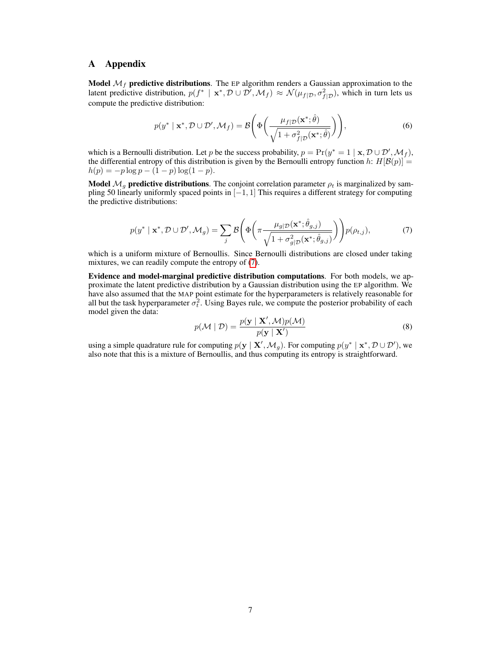## A Appendix

**Model**  $\mathcal{M}_f$  **predictive distributions**. The EP algorithm renders a Gaussian approximation to the latent predictive distribution,  $p(f^* \mid \mathbf{x}^*, \mathcal{D} \cup \mathcal{D}', \mathcal{M}_f) \approx \mathcal{N}(\mu_{f|\mathcal{D}}, \sigma_{f|\mathcal{D}}^2)$ , which in turn lets us compute the predictive distribution:

$$
p(y^* \mid \mathbf{x}^*, \mathcal{D} \cup \mathcal{D}', \mathcal{M}_f) = \mathcal{B}\left(\Phi\left(\frac{\mu_f|\mathcal{D}(\mathbf{x}^*; \hat{\theta})}{\sqrt{1 + \sigma_{f|\mathcal{D}}^2(\mathbf{x}^*; \hat{\theta})}}\right)\right),\tag{6}
$$

which is a Bernoulli distribution. Let p be the success probability,  $p = Pr(y^* = 1 | \mathbf{x}, \mathcal{D} \cup \mathcal{D}', \mathcal{M}_f)$ , the differential entropy of this distribution is given by the Bernoulli entropy function h:  $H[\mathcal{B}(p)] =$  $h(p) = -p \log p - (1-p) \log(1-p).$ 

<span id="page-6-0"></span>Model  $\mathcal{M}_g$  predictive distributions. The conjoint correlation parameter  $\rho_t$  is marginalized by sampling 50 linearly uniformly spaced points in [−1, 1] This requires a different strategy for computing the predictive distributions:

$$
p(y^* \mid \mathbf{x}^*, \mathcal{D} \cup \mathcal{D}', \mathcal{M}_g) = \sum_j \mathcal{B}\left(\Phi\left(\pi \frac{\mu_{g|\mathcal{D}}(\mathbf{x}^*; \hat{\theta}_{g,j})}{\sqrt{1 + \sigma_{g|\mathcal{D}}^2(\mathbf{x}^*; \hat{\theta}_{g,j})}}\right)\right) p(\rho_{t,j}),\tag{7}
$$

which is a uniform mixture of Bernoullis. Since Bernoulli distributions are closed under taking mixtures, we can readily compute the entropy of [\(7\)](#page-6-0).

Evidence and model-marginal predictive distribution computations. For both models, we approximate the latent predictive distribution by a Gaussian distribution using the EP algorithm. We have also assumed that the MAP point estimate for the hyperparameters is relatively reasonable for all but the task hyperparameter  $\sigma_t^2$ . Using Bayes rule, we compute the posterior probability of each model given the data:

$$
p(\mathcal{M} \mid \mathcal{D}) = \frac{p(\mathbf{y} \mid \mathbf{X}', \mathcal{M})p(\mathcal{M})}{p(\mathbf{y} \mid \mathbf{X}')} \tag{8}
$$

using a simple quadrature rule for computing  $p(\mathbf{y} \mid \mathbf{X}', \mathcal{M}_g)$ . For computing  $p(y^* \mid \mathbf{x}^*, \mathcal{D} \cup \mathcal{D}')$ , we also note that this is a mixture of Bernoullis, and thus computing its entropy is straightforward.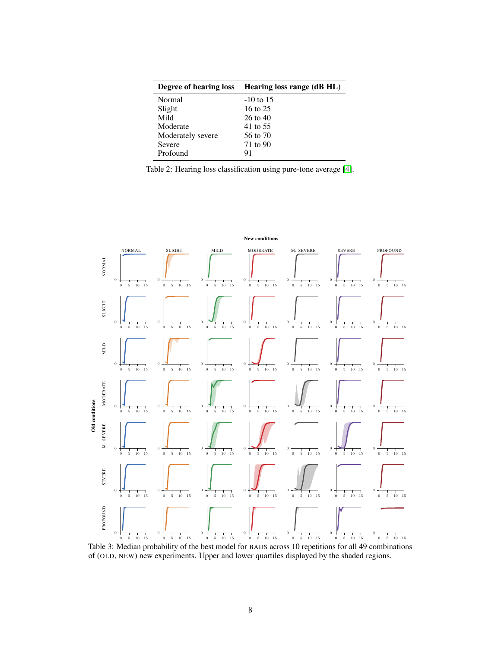<span id="page-7-0"></span>

|                   | Degree of hearing loss Hearing loss range (dB HL) |
|-------------------|---------------------------------------------------|
| Normal            | $-10$ to 15                                       |
| Slight            | 16 to 25                                          |
| Mild              | 26 to 40                                          |
| Moderate          | 41 to 55                                          |
| Moderately severe | 56 to 70                                          |
| Severe            | 71 to 90                                          |
| Profound          | 91                                                |

| Table 2: Hearing loss classification using pure-tone average [4]. |  |
|-------------------------------------------------------------------|--|
|                                                                   |  |

<span id="page-7-1"></span>

Table 3: Median probability of the best model for BADS across 10 repetitions for all 49 combinations of (OLD, NEW) new experiments. Upper and lower quartiles displayed by the shaded regions.